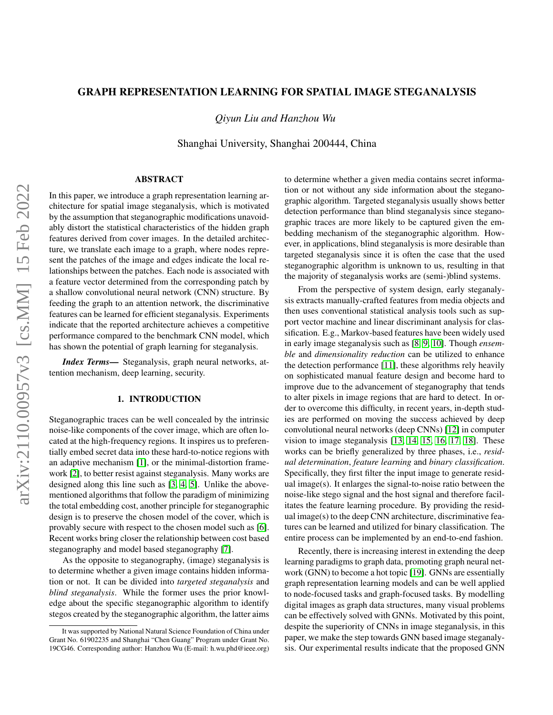# GRAPH REPRESENTATION LEARNING FOR SPATIAL IMAGE STEGANALYSIS

*Qiyun Liu and Hanzhou Wu*

Shanghai University, Shanghai 200444, China

# ABSTRACT

In this paper, we introduce a graph representation learning architecture for spatial image steganalysis, which is motivated by the assumption that steganographic modifications unavoidably distort the statistical characteristics of the hidden graph features derived from cover images. In the detailed architecture, we translate each image to a graph, where nodes represent the patches of the image and edges indicate the local relationships between the patches. Each node is associated with a feature vector determined from the corresponding patch by a shallow convolutional neural network (CNN) structure. By feeding the graph to an attention network, the discriminative features can be learned for efficient steganalysis. Experiments indicate that the reported architecture achieves a competitive performance compared to the benchmark CNN model, which has shown the potential of graph learning for steganalysis.

*Index Terms*— Steganalysis, graph neural networks, attention mechanism, deep learning, security.

# 1. INTRODUCTION

Steganographic traces can be well concealed by the intrinsic noise-like components of the cover image, which are often located at the high-frequency regions. It inspires us to preferentially embed secret data into these hard-to-notice regions with an adaptive mechanism [\[1\]](#page-4-0), or the minimal-distortion framework [\[2\]](#page-4-1), to better resist against steganalysis. Many works are designed along this line such as [\[3,](#page-4-2) [4,](#page-4-3) [5\]](#page-4-4). Unlike the abovementioned algorithms that follow the paradigm of minimizing the total embedding cost, another principle for steganographic design is to preserve the chosen model of the cover, which is provably secure with respect to the chosen model such as [\[6\]](#page-4-5). Recent works bring closer the relationship between cost based steganography and model based steganography [\[7\]](#page-4-6).

As the opposite to steganography, (image) steganalysis is to determine whether a given image contains hidden information or not. It can be divided into *targeted steganalysis* and *blind steganalysis*. While the former uses the prior knowledge about the specific steganographic algorithm to identify stegos created by the steganographic algorithm, the latter aims

to determine whether a given media contains secret information or not without any side information about the steganographic algorithm. Targeted steganalysis usually shows better detection performance than blind steganalysis since steganographic traces are more likely to be captured given the embedding mechanism of the steganographic algorithm. However, in applications, blind steganalysis is more desirable than targeted steganalysis since it is often the case that the used steganographic algorithm is unknown to us, resulting in that the majority of steganalysis works are (semi-)blind systems.

From the perspective of system design, early steganalysis extracts manually-crafted features from media objects and then uses conventional statistical analysis tools such as support vector machine and linear discriminant analysis for classification. E.g., Markov-based features have been widely used in early image steganalysis such as [\[8,](#page-4-7) [9,](#page-4-8) [10\]](#page-4-9). Though *ensemble* and *dimensionality reduction* can be utilized to enhance the detection performance [\[11\]](#page-4-10), these algorithms rely heavily on sophisticated manual feature design and become hard to improve due to the advancement of steganography that tends to alter pixels in image regions that are hard to detect. In order to overcome this difficulty, in recent years, in-depth studies are performed on moving the success achieved by deep convolutional neural networks (deep CNNs) [\[12\]](#page-4-11) in computer vision to image steganalysis [\[13,](#page-4-12) [14,](#page-4-13) [15,](#page-4-14) [16,](#page-4-15) [17,](#page-4-16) [18\]](#page-4-17). These works can be briefly generalized by three phases, i.e., *residual determination*, *feature learning* and *binary classification*. Specifically, they first filter the input image to generate residual image(s). It enlarges the signal-to-noise ratio between the noise-like stego signal and the host signal and therefore facilitates the feature learning procedure. By providing the residual image(s) to the deep CNN architecture, discriminative features can be learned and utilized for binary classification. The entire process can be implemented by an end-to-end fashion.

Recently, there is increasing interest in extending the deep learning paradigms to graph data, promoting graph neural network (GNN) to become a hot topic [\[19\]](#page-4-18). GNNs are essentially graph representation learning models and can be well applied to node-focused tasks and graph-focused tasks. By modelling digital images as graph data structures, many visual problems can be effectively solved with GNNs. Motivated by this point, despite the superiority of CNNs in image steganalysis, in this paper, we make the step towards GNN based image steganalysis. Our experimental results indicate that the proposed GNN

It was supported by National Natural Science Foundation of China under Grant No. 61902235 and Shanghai "Chen Guang" Program under Grant No. 19CG46. Corresponding author: Hanzhou Wu (E-mail: h.wu.phd@ieee.org)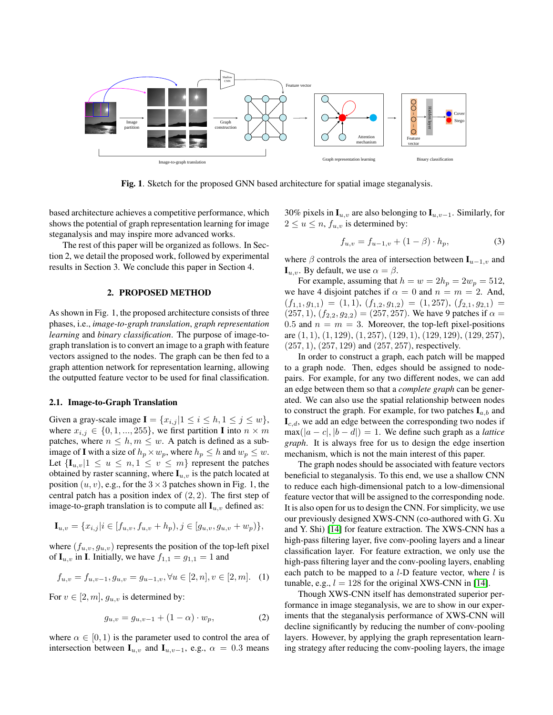

Fig. 1. Sketch for the proposed GNN based architecture for spatial image steganalysis.

based architecture achieves a competitive performance, which shows the potential of graph representation learning for image steganalysis and may inspire more advanced works.

The rest of this paper will be organized as follows. In Section 2, we detail the proposed work, followed by experimental results in Section 3. We conclude this paper in Section 4.

## 2. PROPOSED METHOD

As shown in Fig. 1, the proposed architecture consists of three phases, i.e., *image-to-graph translation*, *graph representation learning* and *binary classification*. The purpose of image-tograph translation is to convert an image to a graph with feature vectors assigned to the nodes. The graph can be then fed to a graph attention network for representation learning, allowing the outputted feature vector to be used for final classification.

## 2.1. Image-to-Graph Translation

Given a gray-scale image  $I = \{x_{i,j} | 1 \le i \le h, 1 \le j \le w\},\$ where  $x_{i,j} \in \{0, 1, ..., 255\}$ , we first partition I into  $n \times m$ patches, where  $n \leq h, m \leq w$ . A patch is defined as a subimage of **I** with a size of  $h_p \times w_p$ , where  $h_p \leq h$  and  $w_p \leq w$ . Let  $\{\mathbf{I}_{u,v}|1 \leq u \leq n, 1 \leq v \leq m\}$  represent the patches obtained by raster scanning, where  $I_{u,v}$  is the patch located at position  $(u, v)$ , e.g., for the  $3 \times 3$  patches shown in Fig. 1, the central patch has a position index of  $(2, 2)$ . The first step of image-to-graph translation is to compute all  $\mathbf{I}_{u,v}$  defined as:

$$
\mathbf{I}_{u,v} = \{x_{i,j} | i \in [f_{u,v}, f_{u,v} + h_p), j \in [g_{u,v}, g_{u,v} + w_p)\},\
$$

where  $(f_{u,v}, g_{u,v})$  represents the position of the top-left pixel of  $I_{u,v}$  in I. Initially, we have  $f_{1,1} = g_{1,1} = 1$  and

$$
f_{u,v} = f_{u,v-1}, g_{u,v} = g_{u-1,v}, \forall u \in [2, n], v \in [2, m]. \tag{1}
$$

For  $v \in [2, m]$ ,  $q_{u,v}$  is determined by:

$$
g_{u,v} = g_{u,v-1} + (1 - \alpha) \cdot w_p, \tag{2}
$$

where  $\alpha \in [0, 1)$  is the parameter used to control the area of intersection between  $\mathbf{I}_{u,v}$  and  $\mathbf{I}_{u,v-1}$ , e.g.,  $\alpha = 0.3$  means

30% pixels in  $\mathbf{I}_{u,v}$  are also belonging to  $\mathbf{I}_{u,v-1}$ . Similarly, for  $2 \le u \le n$ ,  $f_{u,v}$  is determined by:

$$
f_{u,v} = f_{u-1,v} + (1 - \beta) \cdot h_p,\tag{3}
$$

where  $\beta$  controls the area of intersection between  $\mathbf{I}_{u-1,v}$  and  $\mathbf{I}_{u,v}$ . By default, we use  $\alpha = \beta$ .

For example, assuming that  $h = w = 2h_p = 2w_p = 512$ , we have 4 disjoint patches if  $\alpha = 0$  and  $n = m = 2$ . And,  $(f_{1,1}, g_{1,1}) = (1, 1), (f_{1,2}, g_{1,2}) = (1, 257), (f_{2,1}, g_{2,1}) =$  $(257, 1), (f_{2,2}, g_{2,2}) = (257, 257)$ . We have 9 patches if  $\alpha =$ 0.5 and  $n = m = 3$ . Moreover, the top-left pixel-positions are (1, 1), (1, 129), (1, 257), (129, 1), (129, 129), (129, 257),  $(257, 1), (257, 129)$  and  $(257, 257)$ , respectively.

In order to construct a graph, each patch will be mapped to a graph node. Then, edges should be assigned to nodepairs. For example, for any two different nodes, we can add an edge between them so that a *complete graph* can be generated. We can also use the spatial relationship between nodes to construct the graph. For example, for two patches  $I_{a,b}$  and  $\mathbf{I}_{c,d}$ , we add an edge between the corresponding two nodes if  $max(|a - c|, |b - d|) = 1$ . We define such graph as a *lattice graph*. It is always free for us to design the edge insertion mechanism, which is not the main interest of this paper.

The graph nodes should be associated with feature vectors beneficial to steganalysis. To this end, we use a shallow CNN to reduce each high-dimensional patch to a low-dimensional feature vector that will be assigned to the corresponding node. It is also open for us to design the CNN. For simplicity, we use our previously designed XWS-CNN (co-authored with G. Xu and Y. Shi) [\[14\]](#page-4-13) for feature extraction. The XWS-CNN has a high-pass filtering layer, five conv-pooling layers and a linear classification layer. For feature extraction, we only use the high-pass filtering layer and the conv-pooling layers, enabling each patch to be mapped to a  $l$ -D feature vector, where  $l$  is tunable, e.g.,  $l = 128$  for the original XWS-CNN in [\[14\]](#page-4-13).

Though XWS-CNN itself has demonstrated superior performance in image steganalysis, we are to show in our experiments that the steganalysis performance of XWS-CNN will decline significantly by reducing the number of conv-pooling layers. However, by applying the graph representation learning strategy after reducing the conv-pooling layers, the image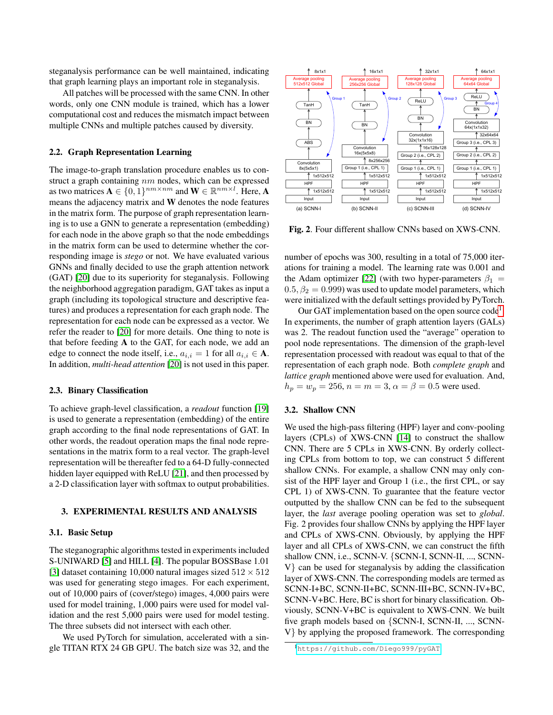steganalysis performance can be well maintained, indicating that graph learning plays an important role in steganalysis.

All patches will be processed with the same CNN. In other words, only one CNN module is trained, which has a lower computational cost and reduces the mismatch impact between multiple CNNs and multiple patches caused by diversity.

## 2.2. Graph Representation Learning

The image-to-graph translation procedure enables us to construct a graph containing nm nodes, which can be expressed as two matrices  $\mathbf{A} \in \{0, 1\}^{nm \times nm}$  and  $\mathbf{W} \in \mathbb{R}^{nm \times l}$ . Here, A means the adjacency matrix and W denotes the node features in the matrix form. The purpose of graph representation learning is to use a GNN to generate a representation (embedding) for each node in the above graph so that the node embeddings in the matrix form can be used to determine whether the corresponding image is *stego* or not. We have evaluated various GNNs and finally decided to use the graph attention network (GAT) [\[20\]](#page-4-19) due to its superiority for steganalysis. Following the neighborhood aggregation paradigm, GAT takes as input a graph (including its topological structure and descriptive features) and produces a representation for each graph node. The representation for each node can be expressed as a vector. We refer the reader to [\[20\]](#page-4-19) for more details. One thing to note is that before feeding A to the GAT, for each node, we add an edge to connect the node itself, i.e.,  $a_{i,i} = 1$  for all  $a_{i,i} \in A$ . In addition, *multi-head attention* [\[20\]](#page-4-19) is not used in this paper.

## 2.3. Binary Classification

To achieve graph-level classification, a *readout* function [\[19\]](#page-4-18) is used to generate a representation (embedding) of the entire graph according to the final node representations of GAT. In other words, the readout operation maps the final node representations in the matrix form to a real vector. The graph-level representation will be thereafter fed to a 64-D fully-connected hidden layer equipped with ReLU [\[21\]](#page-4-20), and then processed by a 2-D classification layer with softmax to output probabilities.

# 3. EXPERIMENTAL RESULTS AND ANALYSIS

#### 3.1. Basic Setup

The steganographic algorithms tested in experiments included S-UNIWARD [\[5\]](#page-4-4) and HILL [\[4\]](#page-4-3). The popular BOSSBase 1.01 [\[3\]](#page-4-2) dataset containing 10,000 natural images sized  $512 \times 512$ was used for generating stego images. For each experiment, out of 10,000 pairs of (cover/stego) images, 4,000 pairs were used for model training, 1,000 pairs were used for model validation and the rest 5,000 pairs were used for model testing. The three subsets did not intersect with each other.

We used PyTorch for simulation, accelerated with a single TITAN RTX 24 GB GPU. The batch size was 32, and the



Fig. 2. Four different shallow CNNs based on XWS-CNN.

number of epochs was 300, resulting in a total of 75,000 iterations for training a model. The learning rate was 0.001 and the Adam optimizer [\[22\]](#page-4-21) (with two hyper-parameters  $\beta_1$  =  $0.5, \beta_2 = 0.999$ ) was used to update model parameters, which were initialized with the default settings provided by PyTorch.

Our GAT implementation based on the open source  $\text{code}^1$  $\text{code}^1$ . In experiments, the number of graph attention layers (GALs) was 2. The readout function used the "average" operation to pool node representations. The dimension of the graph-level representation processed with readout was equal to that of the representation of each graph node. Both *complete graph* and *lattice graph* mentioned above were used for evaluation. And,  $h_p = w_p = 256$ ,  $n = m = 3$ ,  $\alpha = \beta = 0.5$  were used.

# 3.2. Shallow CNN

We used the high-pass filtering (HPF) layer and conv-pooling layers (CPLs) of XWS-CNN [\[14\]](#page-4-13) to construct the shallow CNN. There are 5 CPLs in XWS-CNN. By orderly collecting CPLs from bottom to top, we can construct 5 different shallow CNNs. For example, a shallow CNN may only consist of the HPF layer and Group 1 (i.e., the first CPL, or say CPL 1) of XWS-CNN. To guarantee that the feature vector outputted by the shallow CNN can be fed to the subsequent layer, the *last* average pooling operation was set to *global*. Fig. 2 provides four shallow CNNs by applying the HPF layer and CPLs of XWS-CNN. Obviously, by applying the HPF layer and all CPLs of XWS-CNN, we can construct the fifth shallow CNN, i.e., SCNN-V. {SCNN-I, SCNN-II, ..., SCNN-V} can be used for steganalysis by adding the classification layer of XWS-CNN. The corresponding models are termed as SCNN-I+BC, SCNN-II+BC, SCNN-III+BC, SCNN-IV+BC, SCNN-V+BC. Here, BC is short for binary classification. Obviously, SCNN-V+BC is equivalent to XWS-CNN. We built five graph models based on {SCNN-I, SCNN-II, ..., SCNN-V} by applying the proposed framework. The corresponding

<span id="page-2-0"></span><sup>1</sup><https://github.com/Diego999/pyGAT>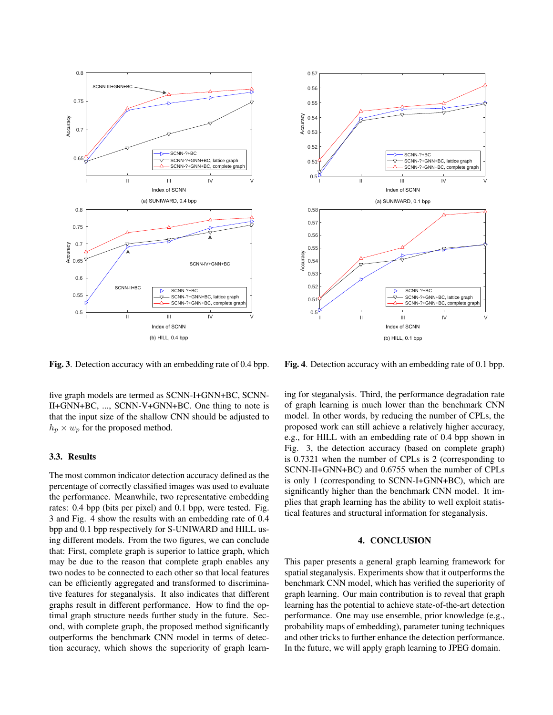

Fig. 3. Detection accuracy with an embedding rate of 0.4 bpp.

five graph models are termed as SCNN-I+GNN+BC, SCNN-II+GNN+BC, ..., SCNN-V+GNN+BC. One thing to note is that the input size of the shallow CNN should be adjusted to  $h_p \times w_p$  for the proposed method.

# 3.3. Results

The most common indicator detection accuracy defined as the percentage of correctly classified images was used to evaluate the performance. Meanwhile, two representative embedding rates: 0.4 bpp (bits per pixel) and 0.1 bpp, were tested. Fig. 3 and Fig. 4 show the results with an embedding rate of 0.4 bpp and 0.1 bpp respectively for S-UNIWARD and HILL using different models. From the two figures, we can conclude that: First, complete graph is superior to lattice graph, which may be due to the reason that complete graph enables any two nodes to be connected to each other so that local features can be efficiently aggregated and transformed to discriminative features for steganalysis. It also indicates that different graphs result in different performance. How to find the optimal graph structure needs further study in the future. Second, with complete graph, the proposed method significantly outperforms the benchmark CNN model in terms of detection accuracy, which shows the superiority of graph learn-



Fig. 4. Detection accuracy with an embedding rate of 0.1 bpp.

ing for steganalysis. Third, the performance degradation rate of graph learning is much lower than the benchmark CNN model. In other words, by reducing the number of CPLs, the proposed work can still achieve a relatively higher accuracy, e.g., for HILL with an embedding rate of 0.4 bpp shown in Fig. 3, the detection accuracy (based on complete graph) is 0.7321 when the number of CPLs is 2 (corresponding to SCNN-II+GNN+BC) and 0.6755 when the number of CPLs is only 1 (corresponding to SCNN-I+GNN+BC), which are significantly higher than the benchmark CNN model. It implies that graph learning has the ability to well exploit statistical features and structural information for steganalysis.

#### 4. CONCLUSION

This paper presents a general graph learning framework for spatial steganalysis. Experiments show that it outperforms the benchmark CNN model, which has verified the superiority of graph learning. Our main contribution is to reveal that graph learning has the potential to achieve state-of-the-art detection performance. One may use ensemble, prior knowledge (e.g., probability maps of embedding), parameter tuning techniques and other tricks to further enhance the detection performance. In the future, we will apply graph learning to JPEG domain.